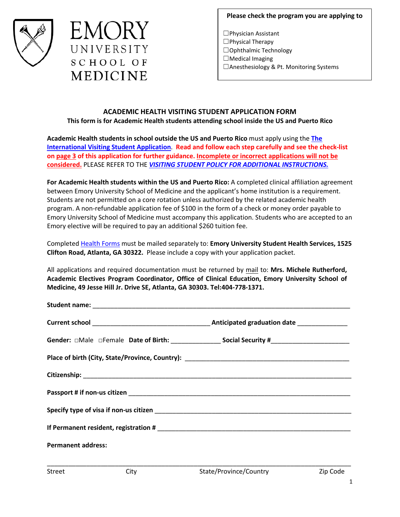



**Please check the program you are applying to**

☐Physician Assistant ☐Physical Therapy ☐Ophthalmic Technology  $\Box$ Medical Imaging ☐Anesthesiology & Pt. Monitoring Systems

## **ACADEMIC HEALTH VISITING STUDENT APPLICATION FORM This form is for Academic Health students attending school inside the US and Puerto Rico**

**Academic Health students in school outside the US and Puerto Rico** must apply using the **[The](https://emorymed.emory.edu/Public/CurriculumPublicPages/VisitingInternationalStudent.aspx)  [International Visiting Student Application](https://emorymed.emory.edu/Public/CurriculumPublicPages/VisitingInternationalStudent.aspx)**. **Read and follow each step carefully and see the check-list on page 3 of this application for further guidance. Incomplete or incorrect applications will not be considered.** PLEASE REFER TO THE *[VISITING STUDENT POLICY FOR ADDITIONAL INSTRUCTIONS.](https://emorymed.emory.edu/Public/CurriculumPublicPages/Visiting%20Student%20Policy.pdf)*

**For Academic Health students within the US and Puerto Rico:** A completed clinical affiliation agreement between Emory University School of Medicine and the applicant's home institution is a requirement. Students are not permitted on a core rotation unless authorized by the related academic health program. A non-refundable application fee of \$100 in the form of a check or money order payable to Emory University School of Medicine must accompany this application. Students who are accepted to an Emory elective will be required to pay an additional \$260 tuition fee.

Complete[d Health Forms](https://emorymed.emory.edu/Public/CurriculumPublicPages/Usercontrols/EntranceMedicalRecord.PDF) must be mailed separately to: **Emory University Student Health Services, 1525 Clifton Road, Atlanta, GA 30322.** Please include a copy with your application packet.

All applications and required documentation must be returned by mail to: **Mrs. Michele Rutherford, Academic Electives Program Coordinator, Office of Clinical Education, Emory University School of Medicine, 49 Jesse Hil[l Jr. Drive](tel:404-778-1372) SE, Atlanta, GA 30303. Tel:404-778-1371.**

| <b>Permanent address:</b> |  |
|---------------------------|--|
|                           |  |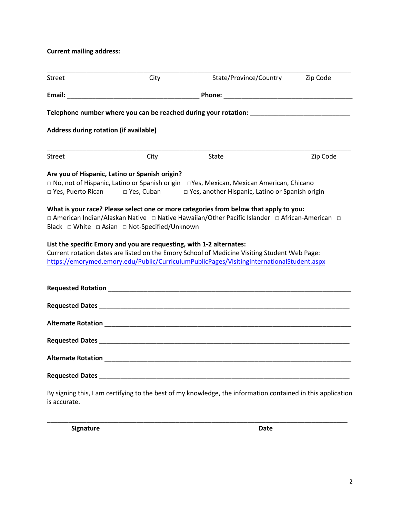**Current mailing address:** 

| <b>Street</b>                                  | City                                                                                                                                                                                                                                | State/Province/Country                                                                                                                                                                    | Zip Code |  |
|------------------------------------------------|-------------------------------------------------------------------------------------------------------------------------------------------------------------------------------------------------------------------------------------|-------------------------------------------------------------------------------------------------------------------------------------------------------------------------------------------|----------|--|
| Email:                                         | <b>Phone:</b> The contract of the contract of the contract of the contract of the contract of the contract of the contract of the contract of the contract of the contract of the contract of the contract of the contract of the c |                                                                                                                                                                                           |          |  |
|                                                |                                                                                                                                                                                                                                     | Telephone number where you can be reached during your rotation: Network and the setting of the setting of the                                                                             |          |  |
| Address during rotation (if available)         |                                                                                                                                                                                                                                     |                                                                                                                                                                                           |          |  |
| <b>Street</b>                                  | City                                                                                                                                                                                                                                | State                                                                                                                                                                                     | Zip Code |  |
| Are you of Hispanic, Latino or Spanish origin? |                                                                                                                                                                                                                                     |                                                                                                                                                                                           |          |  |
|                                                |                                                                                                                                                                                                                                     | □ No, not of Hispanic, Latino or Spanish origin □ Yes, Mexican, Mexican American, Chicano                                                                                                 |          |  |
|                                                |                                                                                                                                                                                                                                     | □ Yes, Puerto Rican □ Yes, Cuban □ Yes, another Hispanic, Latino or Spanish origin                                                                                                        |          |  |
|                                                | List the specific Emory and you are requesting, with 1-2 alternates:                                                                                                                                                                | Current rotation dates are listed on the Emory School of Medicine Visiting Student Web Page:<br>https://emorymed.emory.edu/Public/CurriculumPublicPages/VisitingInternationalStudent.aspx |          |  |
|                                                |                                                                                                                                                                                                                                     |                                                                                                                                                                                           |          |  |
|                                                |                                                                                                                                                                                                                                     | Requested Dates <b>Exercísions Requested Dates</b>                                                                                                                                        |          |  |
|                                                |                                                                                                                                                                                                                                     |                                                                                                                                                                                           |          |  |
|                                                |                                                                                                                                                                                                                                     |                                                                                                                                                                                           |          |  |
|                                                |                                                                                                                                                                                                                                     |                                                                                                                                                                                           |          |  |
|                                                |                                                                                                                                                                                                                                     | Requested Dates <b>Exercísions Requested Dates</b>                                                                                                                                        |          |  |
| is accurate.                                   |                                                                                                                                                                                                                                     | By signing this, I am certifying to the best of my knowledge, the information contained in this application                                                                               |          |  |

\_\_\_\_\_\_\_\_\_\_\_\_\_\_\_\_\_\_\_\_\_\_\_\_\_\_\_\_\_\_\_\_\_\_\_\_\_\_\_\_\_\_\_\_\_\_\_\_\_\_\_\_\_\_\_\_\_\_\_\_\_\_\_\_\_\_\_\_\_\_\_\_\_\_\_\_\_\_\_\_\_\_\_\_

**Signature** Date